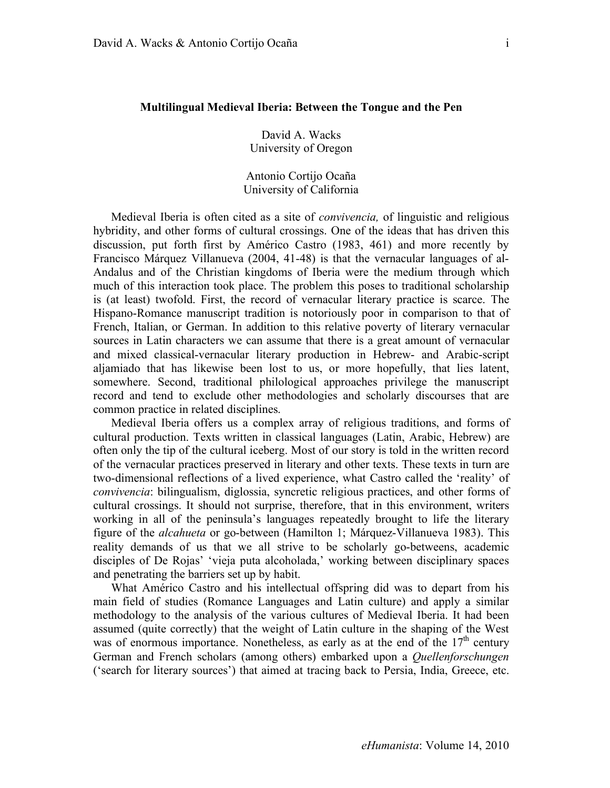## **Multilingual Medieval Iberia: Between the Tongue and the Pen**

David A. Wacks University of Oregon

Antonio Cortijo Ocaña University of California

Medieval Iberia is often cited as a site of *convivencia,* of linguistic and religious hybridity, and other forms of cultural crossings. One of the ideas that has driven this discussion, put forth first by Américo Castro (1983, 461) and more recently by Francisco Márquez Villanueva (2004, 41-48) is that the vernacular languages of al-Andalus and of the Christian kingdoms of Iberia were the medium through which much of this interaction took place. The problem this poses to traditional scholarship is (at least) twofold. First, the record of vernacular literary practice is scarce. The Hispano-Romance manuscript tradition is notoriously poor in comparison to that of French, Italian, or German. In addition to this relative poverty of literary vernacular sources in Latin characters we can assume that there is a great amount of vernacular and mixed classical-vernacular literary production in Hebrew- and Arabic-script aljamiado that has likewise been lost to us, or more hopefully, that lies latent, somewhere. Second, traditional philological approaches privilege the manuscript record and tend to exclude other methodologies and scholarly discourses that are common practice in related disciplines.

Medieval Iberia offers us a complex array of religious traditions, and forms of cultural production. Texts written in classical languages (Latin, Arabic, Hebrew) are often only the tip of the cultural iceberg. Most of our story is told in the written record of the vernacular practices preserved in literary and other texts. These texts in turn are two-dimensional reflections of a lived experience, what Castro called the 'reality' of *convivencia*: bilingualism, diglossia, syncretic religious practices, and other forms of cultural crossings. It should not surprise, therefore, that in this environment, writers working in all of the peninsula's languages repeatedly brought to life the literary figure of the *alcahueta* or go-between (Hamilton 1; Márquez-Villanueva 1983). This reality demands of us that we all strive to be scholarly go-betweens, academic disciples of De Rojas' 'vieja puta alcoholada,' working between disciplinary spaces and penetrating the barriers set up by habit.

What Américo Castro and his intellectual offspring did was to depart from his main field of studies (Romance Languages and Latin culture) and apply a similar methodology to the analysis of the various cultures of Medieval Iberia. It had been assumed (quite correctly) that the weight of Latin culture in the shaping of the West was of enormous importance. Nonetheless, as early as at the end of the  $17<sup>th</sup>$  century German and French scholars (among others) embarked upon a *Quellenforschungen* ('search for literary sources') that aimed at tracing back to Persia, India, Greece, etc.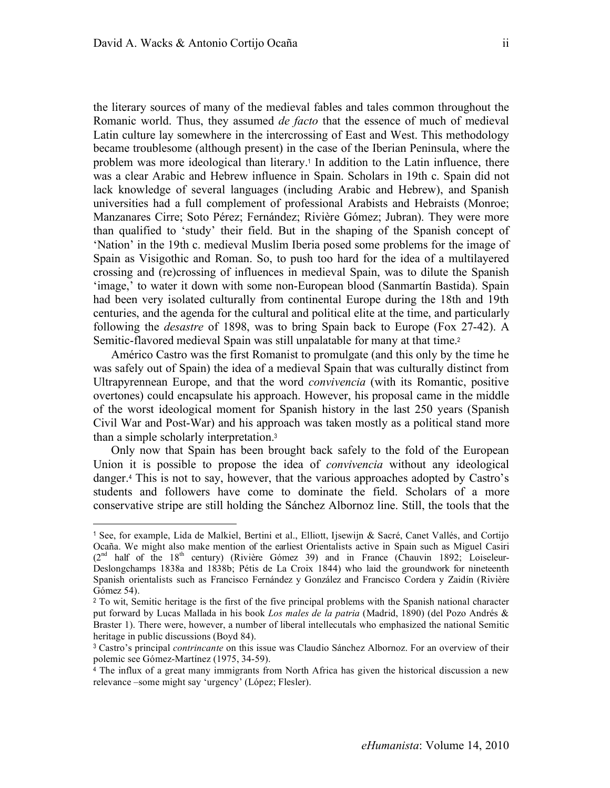$\overline{a}$ 

the literary sources of many of the medieval fables and tales common throughout the Romanic world. Thus, they assumed *de facto* that the essence of much of medieval Latin culture lay somewhere in the intercrossing of East and West. This methodology became troublesome (although present) in the case of the Iberian Peninsula, where the problem was more ideological than literary.<sup>1</sup> In addition to the Latin influence, there was a clear Arabic and Hebrew influence in Spain. Scholars in 19th c. Spain did not lack knowledge of several languages (including Arabic and Hebrew), and Spanish universities had a full complement of professional Arabists and Hebraists (Monroe; Manzanares Cirre; Soto Pérez; Fernández; Rivière Gómez; Jubran). They were more than qualified to 'study' their field. But in the shaping of the Spanish concept of 'Nation' in the 19th c. medieval Muslim Iberia posed some problems for the image of Spain as Visigothic and Roman. So, to push too hard for the idea of a multilayered crossing and (re)crossing of influences in medieval Spain, was to dilute the Spanish 'image,' to water it down with some non-European blood (Sanmartín Bastida). Spain had been very isolated culturally from continental Europe during the 18th and 19th centuries, and the agenda for the cultural and political elite at the time, and particularly following the *desastre* of 1898, was to bring Spain back to Europe (Fox 27-42). A Semitic-flavored medieval Spain was still unpalatable for many at that time.<sup>2</sup>

Américo Castro was the first Romanist to promulgate (and this only by the time he was safely out of Spain) the idea of a medieval Spain that was culturally distinct from Ultrapyrennean Europe, and that the word *convivencia* (with its Romantic, positive overtones) could encapsulate his approach. However, his proposal came in the middle of the worst ideological moment for Spanish history in the last 250 years (Spanish Civil War and Post-War) and his approach was taken mostly as a political stand more than a simple scholarly interpretation.<sup>3</sup>

Only now that Spain has been brought back safely to the fold of the European Union it is possible to propose the idea of *convivencia* without any ideological danger.4 This is not to say, however, that the various approaches adopted by Castro's students and followers have come to dominate the field. Scholars of a more conservative stripe are still holding the Sánchez Albornoz line. Still, the tools that the

<sup>1</sup> See, for example, Lida de Malkiel, Bertini et al., Elliott, Ijsewijn & Sacré, Canet Vallés, and Cortijo Ocaña. We might also make mention of the earliest Orientalists active in Spain such as Miguel Casiri  $(2^{nd}$  half of the 18<sup>th</sup> century) (Rivière Gómez 39) and in France (Chauvin 1892; Loiseleur-Deslongchamps 1838a and 1838b; Pétis de La Croix 1844) who laid the groundwork for nineteenth Spanish orientalists such as Francisco Fernández y González and Francisco Cordera y Zaidín (Rivière Gómez 54).

<sup>&</sup>lt;sup>2</sup> To wit, Semitic heritage is the first of the five principal problems with the Spanish national character put forward by Lucas Mallada in his book *Los males de la patria* (Madrid, 1890) (del Pozo Andrés & Braster 1). There were, however, a number of liberal intellecutals who emphasized the national Semitic heritage in public discussions (Boyd 84).

<sup>3</sup> Castro's principal *contrincante* on this issue was Claudio Sánchez Albornoz. For an overview of their polemic see Gómez-Martínez (1975, 34-59).

<sup>&</sup>lt;sup>4</sup> The influx of a great many immigrants from North Africa has given the historical discussion a new relevance –some might say 'urgency' (López; Flesler).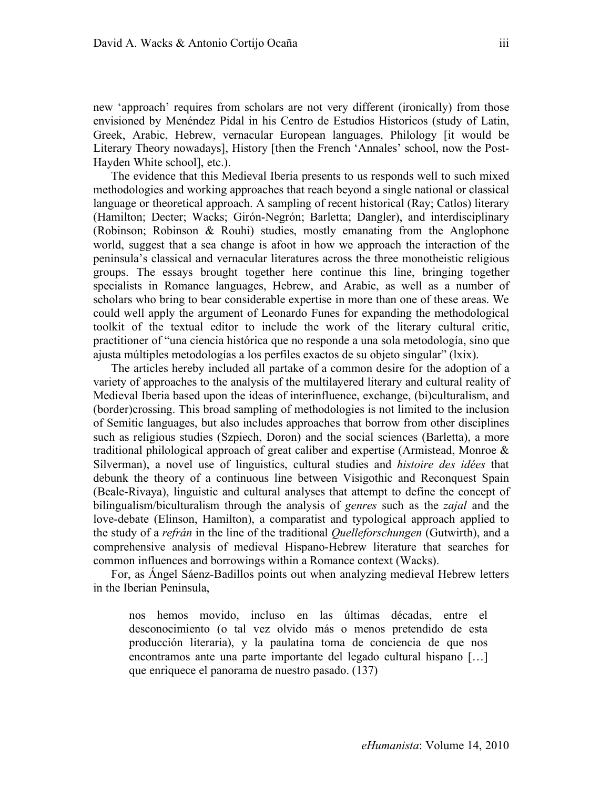new 'approach' requires from scholars are not very different (ironically) from those envisioned by Menéndez Pidal in his Centro de Estudios Historicos (study of Latin, Greek, Arabic, Hebrew, vernacular European languages, Philology [it would be Literary Theory nowadays], History [then the French 'Annales' school, now the Post-Hayden White school], etc.).

The evidence that this Medieval Iberia presents to us responds well to such mixed methodologies and working approaches that reach beyond a single national or classical language or theoretical approach. A sampling of recent historical (Ray; Catlos) literary (Hamilton; Decter; Wacks; Girón-Negrón; Barletta; Dangler), and interdisciplinary (Robinson; Robinson & Rouhi) studies, mostly emanating from the Anglophone world, suggest that a sea change is afoot in how we approach the interaction of the peninsula's classical and vernacular literatures across the three monotheistic religious groups. The essays brought together here continue this line, bringing together specialists in Romance languages, Hebrew, and Arabic, as well as a number of scholars who bring to bear considerable expertise in more than one of these areas. We could well apply the argument of Leonardo Funes for expanding the methodological toolkit of the textual editor to include the work of the literary cultural critic, practitioner of "una ciencia histórica que no responde a una sola metodología, sino que ajusta múltiples metodologías a los perfiles exactos de su objeto singular" (lxix).

The articles hereby included all partake of a common desire for the adoption of a variety of approaches to the analysis of the multilayered literary and cultural reality of Medieval Iberia based upon the ideas of interinfluence, exchange, (bi)culturalism, and (border)crossing. This broad sampling of methodologies is not limited to the inclusion of Semitic languages, but also includes approaches that borrow from other disciplines such as religious studies (Szpiech, Doron) and the social sciences (Barletta), a more traditional philological approach of great caliber and expertise (Armistead, Monroe & Silverman), a novel use of linguistics, cultural studies and *histoire des idées* that debunk the theory of a continuous line between Visigothic and Reconquest Spain (Beale-Rivaya), linguistic and cultural analyses that attempt to define the concept of bilingualism/biculturalism through the analysis of *genres* such as the *zajal* and the love-debate (Elinson, Hamilton), a comparatist and typological approach applied to the study of a *refrán* in the line of the traditional *Quelleforschungen* (Gutwirth), and a comprehensive analysis of medieval Hispano-Hebrew literature that searches for common influences and borrowings within a Romance context (Wacks).

For, as Ángel Sáenz-Badillos points out when analyzing medieval Hebrew letters in the Iberian Peninsula,

nos hemos movido, incluso en las últimas décadas, entre el desconocimiento (o tal vez olvido más o menos pretendido de esta producción literaria), y la paulatina toma de conciencia de que nos encontramos ante una parte importante del legado cultural hispano […] que enriquece el panorama de nuestro pasado. (137)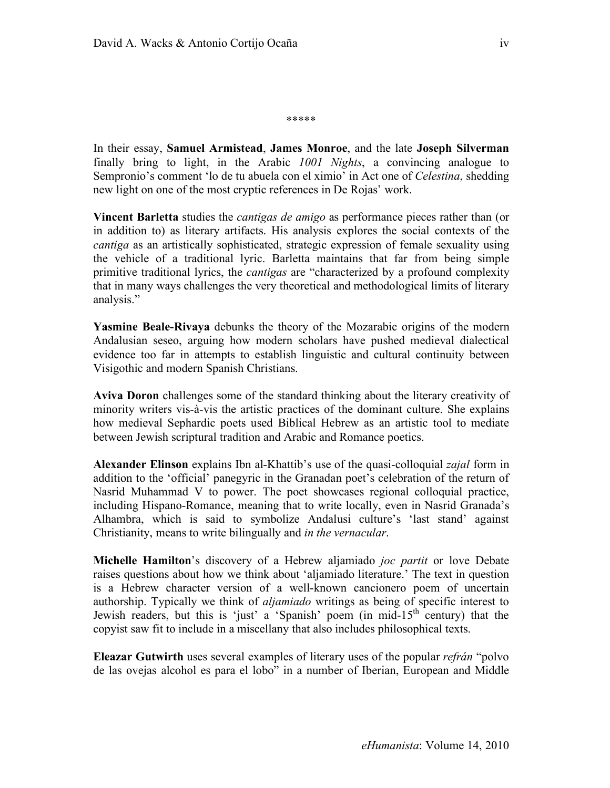\*\*\*\*\*

In their essay, **Samuel Armistead**, **James Monroe**, and the late **Joseph Silverman** finally bring to light, in the Arabic *1001 Nights*, a convincing analogue to Sempronio's comment 'lo de tu abuela con el ximio' in Act one of *Celestina*, shedding new light on one of the most cryptic references in De Rojas' work.

**Vincent Barletta** studies the *cantigas de amigo* as performance pieces rather than (or in addition to) as literary artifacts. His analysis explores the social contexts of the *cantiga* as an artistically sophisticated, strategic expression of female sexuality using the vehicle of a traditional lyric. Barletta maintains that far from being simple primitive traditional lyrics, the *cantigas* are "characterized by a profound complexity that in many ways challenges the very theoretical and methodological limits of literary analysis."

**Yasmine Beale-Rivaya** debunks the theory of the Mozarabic origins of the modern Andalusian seseo, arguing how modern scholars have pushed medieval dialectical evidence too far in attempts to establish linguistic and cultural continuity between Visigothic and modern Spanish Christians.

**Aviva Doron** challenges some of the standard thinking about the literary creativity of minority writers vis-à-vis the artistic practices of the dominant culture. She explains how medieval Sephardic poets used Biblical Hebrew as an artistic tool to mediate between Jewish scriptural tradition and Arabic and Romance poetics.

**Alexander Elinson** explains Ibn al-Khattib's use of the quasi-colloquial *zajal* form in addition to the 'official' panegyric in the Granadan poet's celebration of the return of Nasrid Muhammad V to power. The poet showcases regional colloquial practice, including Hispano-Romance, meaning that to write locally, even in Nasrid Granada's Alhambra, which is said to symbolize Andalusi culture's 'last stand' against Christianity, means to write bilingually and *in the vernacular*.

**Michelle Hamilton**'s discovery of a Hebrew aljamiado *joc partit* or love Debate raises questions about how we think about 'aljamiado literature.' The text in question is a Hebrew character version of a well-known cancionero poem of uncertain authorship. Typically we think of *aljamiado* writings as being of specific interest to Jewish readers, but this is 'just' a 'Spanish' poem (in mid- $15<sup>th</sup>$  century) that the copyist saw fit to include in a miscellany that also includes philosophical texts.

**Eleazar Gutwirth** uses several examples of literary uses of the popular *refrán* "polvo de las ovejas alcohol es para el lobo" in a number of Iberian, European and Middle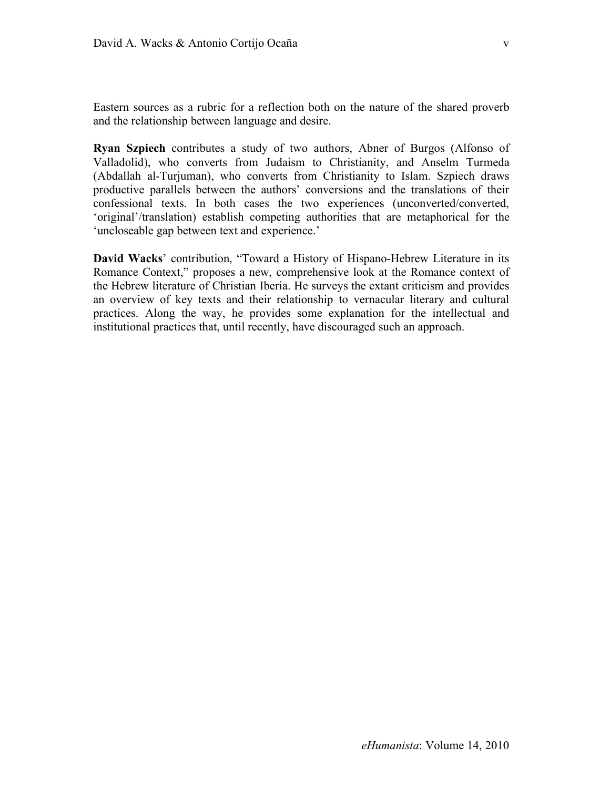v

Eastern sources as a rubric for a reflection both on the nature of the shared proverb and the relationship between language and desire.

**Ryan Szpiech** contributes a study of two authors, Abner of Burgos (Alfonso of Valladolid), who converts from Judaism to Christianity, and Anselm Turmeda (Abdallah al-Turjuman), who converts from Christianity to Islam. Szpiech draws productive parallels between the authors' conversions and the translations of their confessional texts. In both cases the two experiences (unconverted/converted, 'original'/translation) establish competing authorities that are metaphorical for the 'uncloseable gap between text and experience.'

**David Wacks**' contribution, "Toward a History of Hispano-Hebrew Literature in its Romance Context," proposes a new, comprehensive look at the Romance context of the Hebrew literature of Christian Iberia. He surveys the extant criticism and provides an overview of key texts and their relationship to vernacular literary and cultural practices. Along the way, he provides some explanation for the intellectual and institutional practices that, until recently, have discouraged such an approach.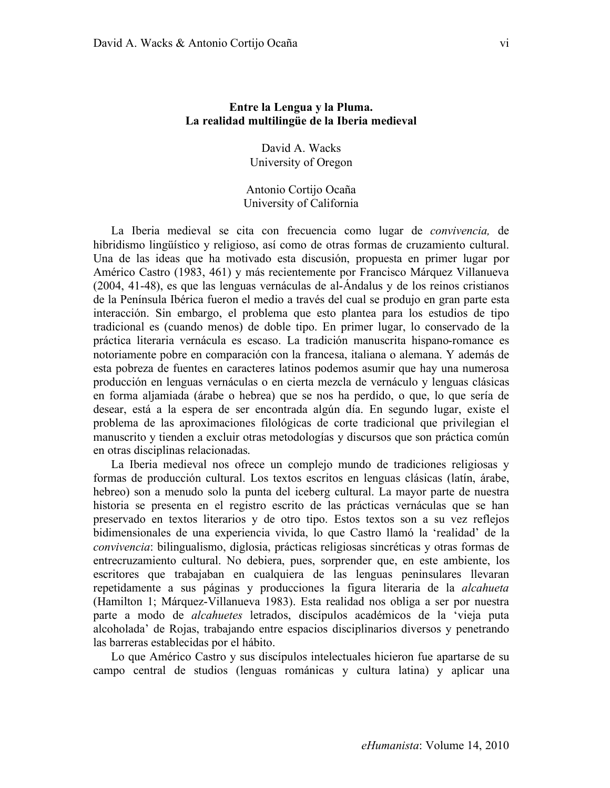## **Entre la Lengua y la Pluma. La realidad multilingüe de la Iberia medieval**

David A. Wacks University of Oregon

Antonio Cortijo Ocaña University of California

La Iberia medieval se cita con frecuencia como lugar de *convivencia,* de hibridismo lingüístico y religioso, así como de otras formas de cruzamiento cultural. Una de las ideas que ha motivado esta discusión, propuesta en primer lugar por Américo Castro (1983, 461) y más recientemente por Francisco Márquez Villanueva (2004, 41-48), es que las lenguas vernáculas de al-Ándalus y de los reinos cristianos de la Península Ibérica fueron el medio a través del cual se produjo en gran parte esta interacción. Sin embargo, el problema que esto plantea para los estudios de tipo tradicional es (cuando menos) de doble tipo. En primer lugar, lo conservado de la práctica literaria vernácula es escaso. La tradición manuscrita hispano-romance es notoriamente pobre en comparación con la francesa, italiana o alemana. Y además de esta pobreza de fuentes en caracteres latinos podemos asumir que hay una numerosa producción en lenguas vernáculas o en cierta mezcla de vernáculo y lenguas clásicas en forma aljamiada (árabe o hebrea) que se nos ha perdido, o que, lo que sería de desear, está a la espera de ser encontrada algún día. En segundo lugar, existe el problema de las aproximaciones filológicas de corte tradicional que privilegian el manuscrito y tienden a excluir otras metodologías y discursos que son práctica común en otras disciplinas relacionadas.

La Iberia medieval nos ofrece un complejo mundo de tradiciones religiosas y formas de producción cultural. Los textos escritos en lenguas clásicas (latín, árabe, hebreo) son a menudo solo la punta del iceberg cultural. La mayor parte de nuestra historia se presenta en el registro escrito de las prácticas vernáculas que se han preservado en textos literarios y de otro tipo. Estos textos son a su vez reflejos bidimensionales de una experiencia vivida, lo que Castro llamó la 'realidad' de la *convivencia*: bilingualismo, diglosia, prácticas religiosas sincréticas y otras formas de entrecruzamiento cultural. No debiera, pues, sorprender que, en este ambiente, los escritores que trabajaban en cualquiera de las lenguas peninsulares llevaran repetidamente a sus páginas y producciones la figura literaria de la *alcahueta* (Hamilton 1; Márquez-Villanueva 1983). Esta realidad nos obliga a ser por nuestra parte a modo de *alcahuetes* letrados, discípulos académicos de la 'vieja puta alcoholada' de Rojas, trabajando entre espacios disciplinarios diversos y penetrando las barreras establecidas por el hábito.

Lo que Américo Castro y sus discípulos intelectuales hicieron fue apartarse de su campo central de studios (lenguas románicas y cultura latina) y aplicar una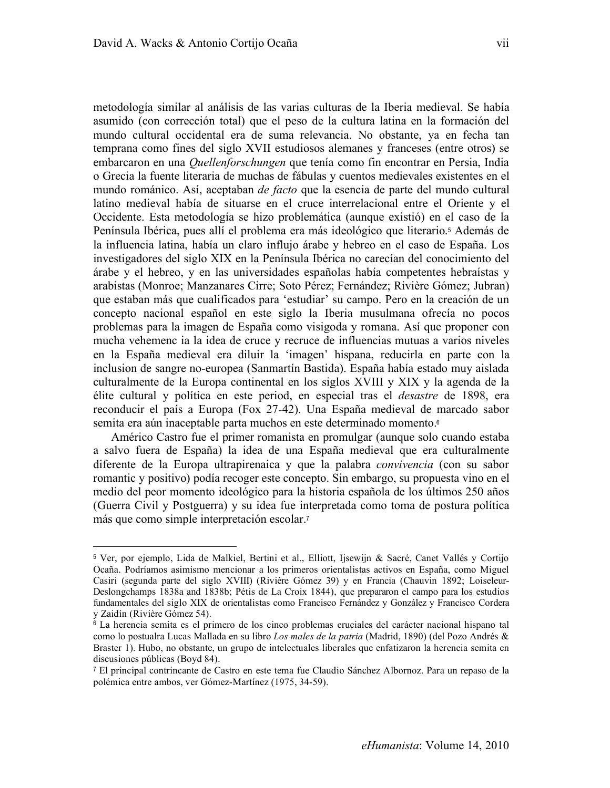$\overline{a}$ 

metodología similar al análisis de las varias culturas de la Iberia medieval. Se había asumido (con corrección total) que el peso de la cultura latina en la formación del mundo cultural occidental era de suma relevancia. No obstante, ya en fecha tan temprana como fines del siglo XVII estudiosos alemanes y franceses (entre otros) se embarcaron en una *Quellenforschungen* que tenía como fin encontrar en Persia, India o Grecia la fuente literaria de muchas de fábulas y cuentos medievales existentes en el mundo románico. Así, aceptaban *de facto* que la esencia de parte del mundo cultural latino medieval había de situarse en el cruce interrelacional entre el Oriente y el Occidente. Esta metodología se hizo problemática (aunque existió) en el caso de la Península Ibérica, pues allí el problema era más ideológico que literario.<sup>5</sup> Además de la influencia latina, había un claro influjo árabe y hebreo en el caso de España. Los investigadores del siglo XIX en la Península Ibérica no carecían del conocimiento del árabe y el hebreo, y en las universidades españolas había competentes hebraístas y arabistas (Monroe; Manzanares Cirre; Soto Pérez; Fernández; Rivière Gómez; Jubran) que estaban más que cualificados para 'estudiar' su campo. Pero en la creación de un concepto nacional español en este siglo la Iberia musulmana ofrecía no pocos problemas para la imagen de España como visigoda y romana. Así que proponer con mucha vehemenc ia la idea de cruce y recruce de influencias mutuas a varios niveles en la España medieval era diluir la 'imagen' hispana, reducirla en parte con la inclusion de sangre no-europea (Sanmartín Bastida). España había estado muy aislada culturalmente de la Europa continental en los siglos XVIII y XIX y la agenda de la élite cultural y política en este period, en especial tras el *desastre* de 1898, era reconducir el país a Europa (Fox 27-42). Una España medieval de marcado sabor semita era aún inaceptable parta muchos en este determinado momento.<sup>6</sup>

Américo Castro fue el primer romanista en promulgar (aunque solo cuando estaba a salvo fuera de España) la idea de una España medieval que era culturalmente diferente de la Europa ultrapirenaica y que la palabra *convivencia* (con su sabor romantic y positivo) podía recoger este concepto. Sin embargo, su propuesta vino en el medio del peor momento ideológico para la historia española de los últimos 250 años (Guerra Civil y Postguerra) y su idea fue interpretada como toma de postura política más que como simple interpretación escolar.<sup>7</sup>

<sup>5</sup> Ver, por ejemplo, Lida de Malkiel, Bertini et al., Elliott, Ijsewijn & Sacré, Canet Vallés y Cortijo Ocaña. Podríamos asimismo mencionar a los primeros orientalistas activos en España, como Miguel Casiri (segunda parte del siglo XVIII) (Rivière Gómez 39) y en Francia (Chauvin 1892; Loiseleur-Deslongchamps 1838a and 1838b; Pétis de La Croix 1844), que prepararon el campo para los estudios fundamentales del siglo XIX de orientalistas como Francisco Fernández y González y Francisco Cordera y Zaidín (Rivière Gómez 54).

<sup>6</sup> La herencia semita es el primero de los cinco problemas cruciales del carácter nacional hispano tal como lo postualra Lucas Mallada en su libro *Los males de la patria* (Madrid, 1890) (del Pozo Andrés & Braster 1). Hubo, no obstante, un grupo de intelectuales liberales que enfatizaron la herencia semita en discusiones públicas (Boyd 84).

<sup>7</sup> El principal contrincante de Castro en este tema fue Claudio Sánchez Albornoz. Para un repaso de la polémica entre ambos, ver Gómez-Martínez (1975, 34-59).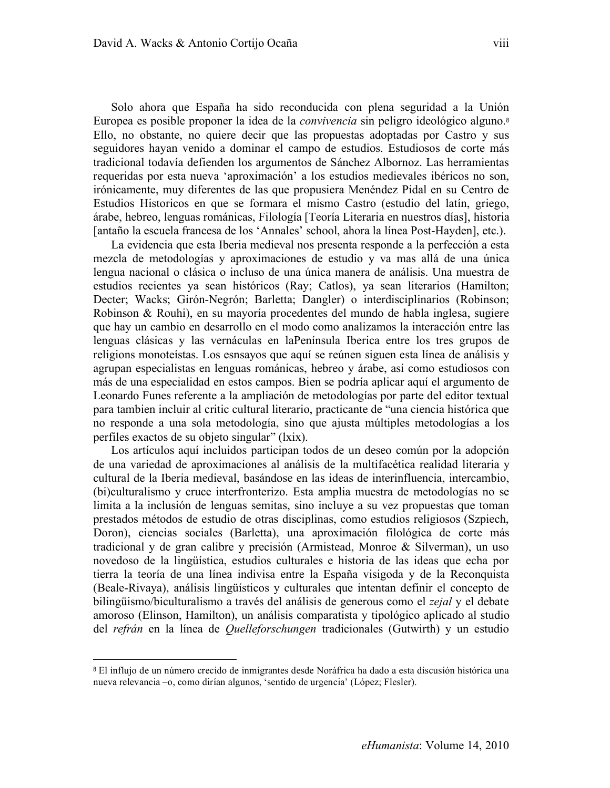Solo ahora que España ha sido reconducida con plena seguridad a la Unión Europea es posible proponer la idea de la *convivencia* sin peligro ideológico alguno.<sup>8</sup> Ello, no obstante, no quiere decir que las propuestas adoptadas por Castro y sus seguidores hayan venido a dominar el campo de estudios. Estudiosos de corte más tradicional todavía defienden los argumentos de Sánchez Albornoz. Las herramientas requeridas por esta nueva 'aproximación' a los estudios medievales ibéricos no son, irónicamente, muy diferentes de las que propusiera Menéndez Pidal en su Centro de Estudios Historicos en que se formara el mismo Castro (estudio del latín, griego, árabe, hebreo, lenguas románicas, Filología [Teoría Literaria en nuestros días], historia [antaño la escuela francesa de los 'Annales' school, ahora la línea Post-Hayden], etc.).

La evidencia que esta Iberia medieval nos presenta responde a la perfección a esta mezcla de metodologías y aproximaciones de estudio y va mas allá de una única lengua nacional o clásica o incluso de una única manera de análisis. Una muestra de estudios recientes ya sean históricos (Ray; Catlos), ya sean literarios (Hamilton; Decter; Wacks; Girón-Negrón; Barletta; Dangler) o interdisciplinarios (Robinson; Robinson & Rouhi), en su mayoría procedentes del mundo de habla inglesa, sugiere que hay un cambio en desarrollo en el modo como analizamos la interacción entre las lenguas clásicas y las vernáculas en laPenínsula Iberica entre los tres grupos de religions monoteístas. Los esnsayos que aquí se reúnen siguen esta línea de análisis y agrupan especialistas en lenguas románicas, hebreo y árabe, así como estudiosos con más de una especialidad en estos campos. Bien se podría aplicar aquí el argumento de Leonardo Funes referente a la ampliación de metodologías por parte del editor textual para tambien incluir al critic cultural literario, practicante de "una ciencia histórica que no responde a una sola metodología, sino que ajusta múltiples metodologías a los perfiles exactos de su objeto singular" (lxix).

Los artículos aquí incluidos participan todos de un deseo común por la adopción de una variedad de aproximaciones al análisis de la multifacética realidad literaria y cultural de la Iberia medieval, basándose en las ideas de interinfluencia, intercambio, (bi)culturalismo y cruce interfronterizo. Esta amplia muestra de metodologías no se limita a la inclusión de lenguas semitas, sino incluye a su vez propuestas que toman prestados métodos de estudio de otras disciplinas, como estudios religiosos (Szpiech, Doron), ciencias sociales (Barletta), una aproximación filológica de corte más tradicional y de gran calibre y precisión (Armistead, Monroe & Silverman), un uso novedoso de la lingüística, estudios culturales e historia de las ideas que echa por tierra la teoría de una línea indivisa entre la España visigoda y de la Reconquista (Beale-Rivaya), análisis lingüísticos y culturales que intentan definir el concepto de bilingüismo/biculturalismo a través del análisis de generous como el *zejal* y el debate amoroso (Elinson, Hamilton), un análisis comparatista y tipológico aplicado al studio del *refrán* en la línea de *Quelleforschungen* tradicionales (Gutwirth) y un estudio

 $\overline{a}$ 

<sup>8</sup> El influjo de un número crecido de inmigrantes desde Noráfrica ha dado a esta discusión histórica una nueva relevancia –o, como dirían algunos, 'sentido de urgencia' (López; Flesler).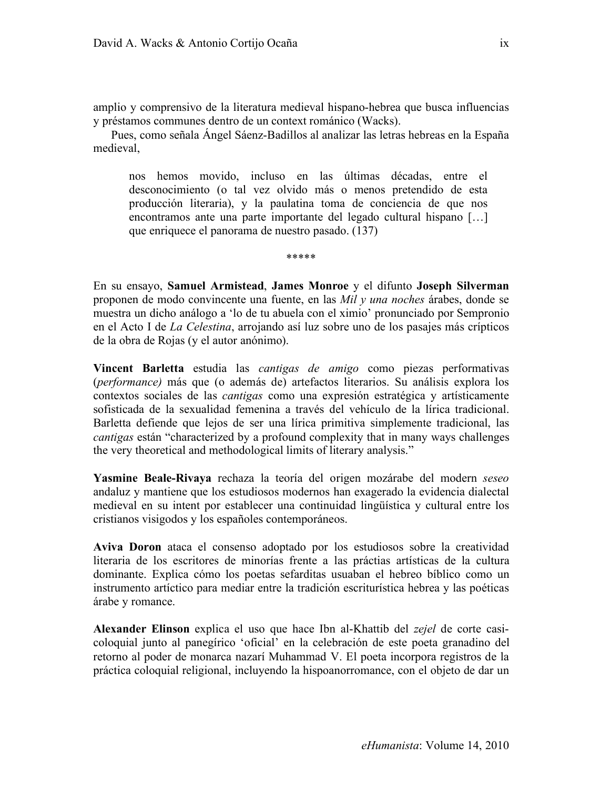amplio y comprensivo de la literatura medieval hispano-hebrea que busca influencias y préstamos communes dentro de un context románico (Wacks).

Pues, como señala Ángel Sáenz-Badillos al analizar las letras hebreas en la España medieval,

nos hemos movido, incluso en las últimas décadas, entre el desconocimiento (o tal vez olvido más o menos pretendido de esta producción literaria), y la paulatina toma de conciencia de que nos encontramos ante una parte importante del legado cultural hispano […] que enriquece el panorama de nuestro pasado. (137)

\*\*\*\*\*

En su ensayo, **Samuel Armistead**, **James Monroe** y el difunto **Joseph Silverman** proponen de modo convincente una fuente, en las *Mil y una noches* árabes, donde se muestra un dicho análogo a 'lo de tu abuela con el ximio' pronunciado por Sempronio en el Acto I de *La Celestina*, arrojando así luz sobre uno de los pasajes más crípticos de la obra de Rojas (y el autor anónimo).

**Vincent Barletta** estudia las *cantigas de amigo* como piezas performativas (*performance)* más que (o además de) artefactos literarios. Su análisis explora los contextos sociales de las *cantigas* como una expresión estratégica y artísticamente sofisticada de la sexualidad femenina a través del vehículo de la lírica tradicional. Barletta defiende que lejos de ser una lírica primitiva simplemente tradicional, las *cantigas* están "characterized by a profound complexity that in many ways challenges the very theoretical and methodological limits of literary analysis."

**Yasmine Beale-Rivaya** rechaza la teoría del origen mozárabe del modern *seseo*  andaluz y mantiene que los estudiosos modernos han exagerado la evidencia dialectal medieval en su intent por establecer una continuidad lingüística y cultural entre los cristianos visigodos y los españoles contemporáneos.

**Aviva Doron** ataca el consenso adoptado por los estudiosos sobre la creatividad literaria de los escritores de minorías frente a las práctias artísticas de la cultura dominante. Explica cómo los poetas sefarditas usuaban el hebreo bíblico como un instrumento artíctico para mediar entre la tradición escriturística hebrea y las poéticas árabe y romance.

**Alexander Elinson** explica el uso que hace Ibn al-Khattib del *zejel* de corte casicoloquial junto al panegírico 'oficial' en la celebración de este poeta granadino del retorno al poder de monarca nazarí Muhammad V. El poeta incorpora registros de la práctica coloquial religional, incluyendo la hispoanorromance, con el objeto de dar un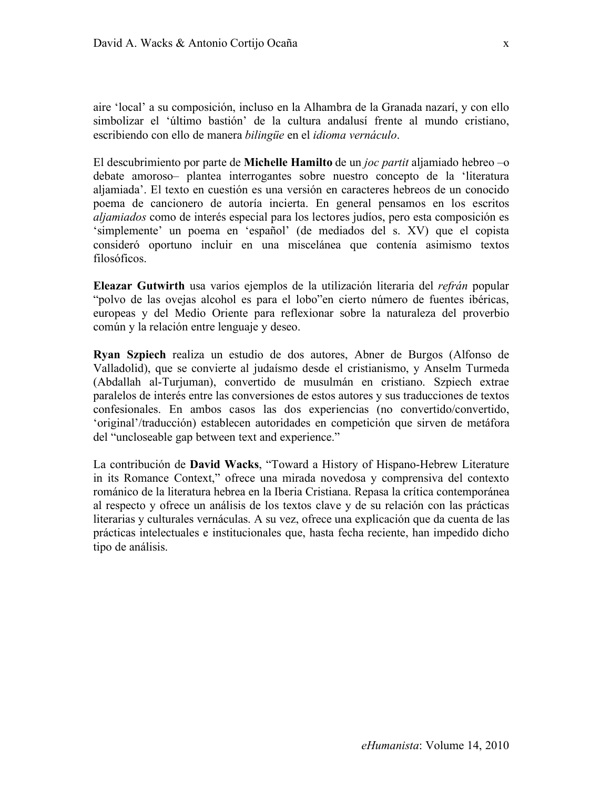aire 'local' a su composición, incluso en la Alhambra de la Granada nazarí, y con ello simbolizar el 'último bastión' de la cultura andalusí frente al mundo cristiano, escribiendo con ello de manera *bilingüe* en el *idioma vernáculo*.

El descubrimiento por parte de **Michelle Hamilto** de un *joc partit* aljamiado hebreo –o debate amoroso– plantea interrogantes sobre nuestro concepto de la 'literatura aljamiada'. El texto en cuestión es una versión en caracteres hebreos de un conocido poema de cancionero de autoría incierta. En general pensamos en los escritos *aljamiados* como de interés especial para los lectores judíos, pero esta composición es 'simplemente' un poema en 'español' (de mediados del s. XV) que el copista consideró oportuno incluir en una miscelánea que contenía asimismo textos filosóficos.

**Eleazar Gutwirth** usa varios ejemplos de la utilización literaria del *refrán* popular "polvo de las ovejas alcohol es para el lobo"en cierto número de fuentes ibéricas, europeas y del Medio Oriente para reflexionar sobre la naturaleza del proverbio común y la relación entre lenguaje y deseo.

**Ryan Szpiech** realiza un estudio de dos autores, Abner de Burgos (Alfonso de Valladolid), que se convierte al judaísmo desde el cristianismo, y Anselm Turmeda (Abdallah al-Turjuman), convertido de musulmán en cristiano. Szpiech extrae paralelos de interés entre las conversiones de estos autores y sus traducciones de textos confesionales. En ambos casos las dos experiencias (no convertido/convertido, 'original'/traducción) establecen autoridades en competición que sirven de metáfora del "uncloseable gap between text and experience."

La contribución de **David Wacks**, "Toward a History of Hispano-Hebrew Literature in its Romance Context," ofrece una mirada novedosa y comprensiva del contexto románico de la literatura hebrea en la Iberia Cristiana. Repasa la crítica contemporánea al respecto y ofrece un análisis de los textos clave y de su relación con las prácticas literarias y culturales vernáculas. A su vez, ofrece una explicación que da cuenta de las prácticas intelectuales e institucionales que, hasta fecha reciente, han impedido dicho tipo de análisis.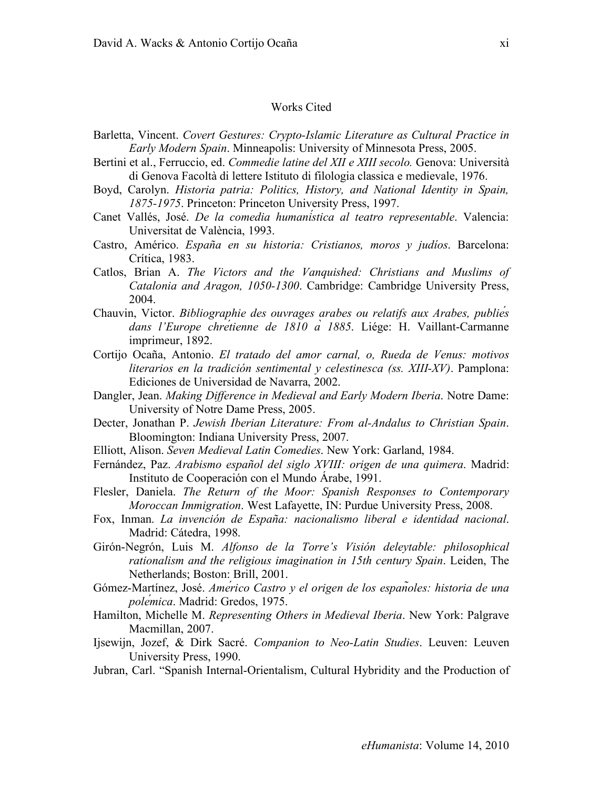## Works Cited

- Barletta, Vincent. *Covert Gestures: Crypto-Islamic Literature as Cultural Practice in Early Modern Spain*. Minneapolis: University of Minnesota Press, 2005.
- Bertini et al., Ferruccio, ed. *Commedie latine del XII e XIII secolo.* Genova: Università di Genova Facoltà di lettere Istituto di filologia classica e medievale, 1976.
- Boyd, Carolyn. *Historia patria: Politics, History, and National Identity in Spain, 1875-1975*. Princeton: Princeton University Press, 1997.
- Canet Vallés, José. *De la comedia humanística al teatro representable*. Valencia: Universitat de València, 1993.
- Castro, Américo. *España en su historia: Cristianos, moros y judíos*. Barcelona: Crítica, 1983.
- Catlos, Brian A. *The Victors and the Vanquished: Christians and Muslims of Catalonia and Aragon, 1050-1300*. Cambridge: Cambridge University Press, 2004.
- Chauvin, Victor. *Bibliographie des ouvrages arabes ou relatifs aux Arabes, publiés dans l'Europe chrétienne de 1810 à 1885*. Liége: H. Vaillant-Carmanne imprimeur, 1892.
- Cortijo Ocaña, Antonio. *El tratado del amor carnal, o, Rueda de Venus: motivos literarios en la tradición sentimental y celestinesca (ss. XIII-XV)*. Pamplona: Ediciones de Universidad de Navarra, 2002.
- Dangler, Jean. *Making Difference in Medieval and Early Modern Iberia*. Notre Dame: University of Notre Dame Press, 2005.
- Decter, Jonathan P. *Jewish Iberian Literature: From al-Andalus to Christian Spain*. Bloomington: Indiana University Press, 2007.
- Elliott, Alison. *Seven Medieval Latin Comedies*. New York: Garland, 1984.
- Fernández, Paz. *Arabismo español del siglo XVIII: origen de una quimera*. Madrid: Instituto de Cooperación con el Mundo Árabe, 1991.
- Flesler, Daniela. *The Return of the Moor: Spanish Responses to Contemporary Moroccan Immigration*. West Lafayette, IN: Purdue University Press, 2008.
- Fox, Inman. *La invención de España: nacionalismo liberal e identidad nacional*. Madrid: Cátedra, 1998.
- Girón-Negrón, Luis M. *Alfonso de la Torre's Visión deleytable: philosophical rationalism and the religious imagination in 15th century Spain*. Leiden, The Netherlands; Boston: Brill, 2001.
- Gómez-Martínez, José. *Américo Castro y el origen de los españoles: historia de una polémica*. Madrid: Gredos, 1975.
- Hamilton, Michelle M. *Representing Others in Medieval Iberia*. New York: Palgrave Macmillan, 2007.
- Ijsewijn, Jozef, & Dirk Sacré. *Companion to Neo-Latin Studies*. Leuven: Leuven University Press, 1990.
- Jubran, Carl. "Spanish Internal-Orientalism, Cultural Hybridity and the Production of